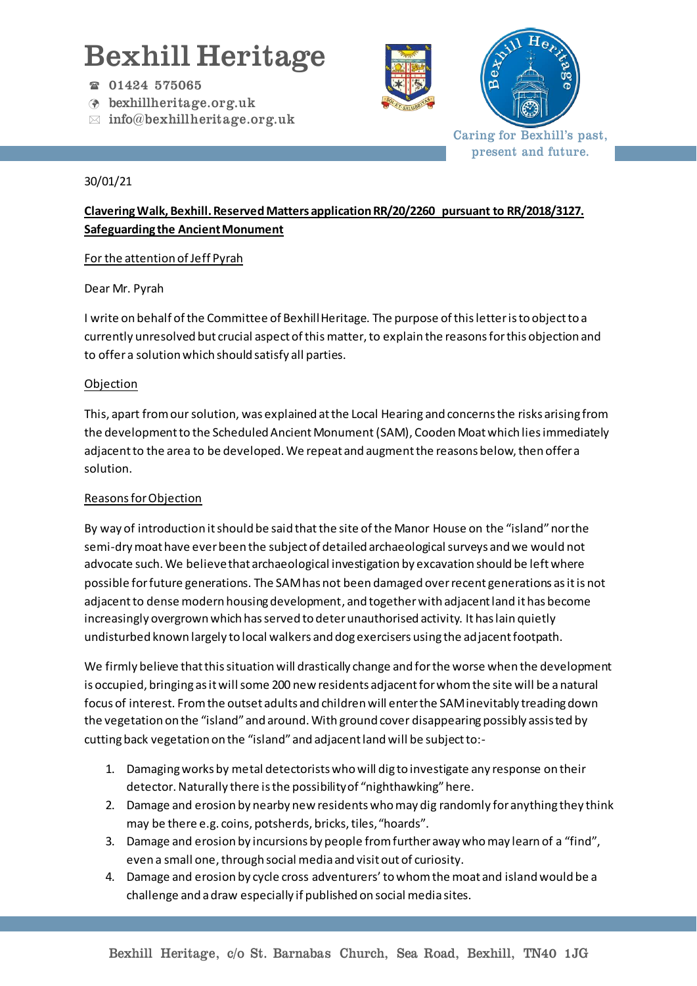# Bexhill Heritage

- 01424 575065
- bexhillheritage.org.uk
- $\boxtimes$  info@bexhillheritage.org.uk





Caring for Bexhill's past, present and future.

#### 30/01/21

## **Clavering Walk, Bexhill. ReservedMatters application RR/20/2260 pursuant to RR/2018/3127. Safeguarding the Ancient Monument**

### For the attention of Jeff Pyrah

Dear Mr. Pyrah

I write on behalf of the Committee of Bexhill Heritage. The purpose of this letter is to object to a currently unresolved but crucial aspect of this matter, to explain the reasons for this objection and to offer a solution which should satisfy all parties.

### Objection

This, apart from our solution, was explained at the Local Hearing and concerns the risks arising from the development to the Scheduled Ancient Monument(SAM), Cooden Moat which lies immediately adjacent to the area to be developed. We repeat and augment the reasons below, then offer a solution.

#### Reasons for Objection

By way of introduction it should be said that the site of the Manor House on the "island" nor the semi-dry moat have ever been the subject of detailed archaeological surveys and we would not advocate such. We believe that archaeological investigation by excavation should be left where possible for future generations. The SAMhas not been damaged over recent generations as it is not adjacent to dense modern housing development, and together with adjacent land it has become increasingly overgrown which has served to deter unauthorised activity. It has lain quietly undisturbed known largely to local walkers and dog exercisers using the adjacent footpath.

We firmly believe that this situation will drastically change and for the worse when the development is occupied, bringing as it will some 200 new residents adjacent for whom the site will be a natural focus of interest. From the outset adults and children will enter the SAM inevitably treading down the vegetation on the "island" and around. With ground cover disappearing possibly assisted by cutting back vegetation on the "island" and adjacent land will be subject to:-

- 1. Damaging works by metal detectorists who will dig to investigate any response on their detector. Naturally there is the possibility of "nighthawking" here.
- 2. Damage and erosion by nearby new residents who may dig randomly for anything they think may be there e.g. coins, potsherds, bricks, tiles, "hoards".
- 3. Damage and erosion by incursions by people from further away who may learn of a "find", even a small one, through social media and visit out of curiosity.
- 4. Damage and erosion by cycle cross adventurers'to whom the moat and island would be a challenge and a draw especially if published on social media sites.